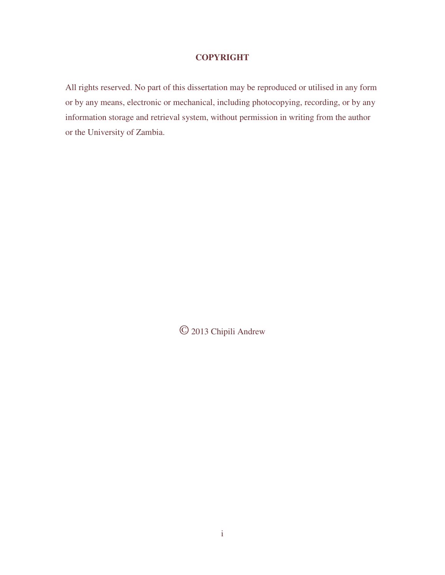### **COPYRIGHT**

All rights reserved. No part of this dissertation may be reproduced or utilised in any form or by any means, electronic or mechanical, including photocopying, recording, or by any information storage and retrieval system, without permission in writing from the author or the University of Zambia.

© 2013 Chipili Andrew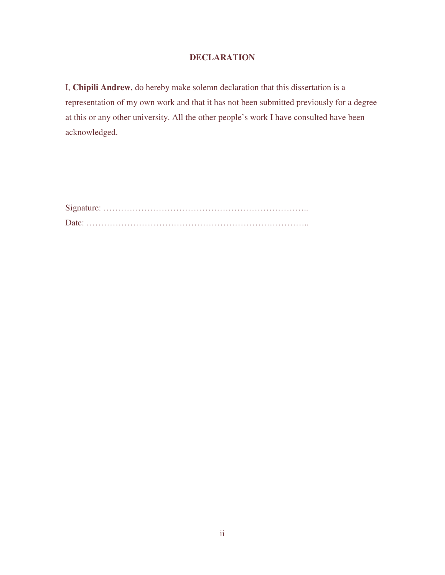### **DECLARATION**

I, **Chipili Andrew**, do hereby make solemn declaration that this dissertation is a representation of my own work and that it has not been submitted previously for a degree at this or any other university. All the other people's work I have consulted have been acknowledged.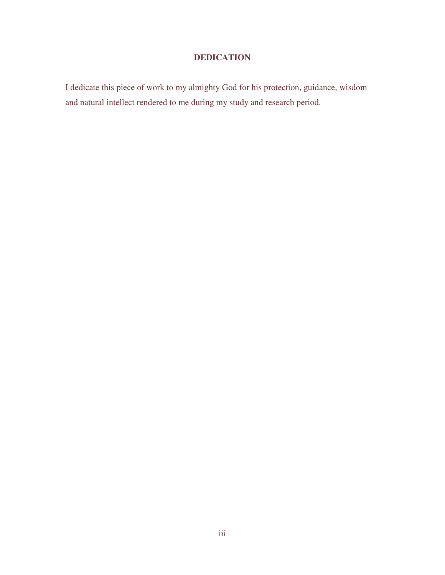### **DEDICATION**

I dedicate this piece of work to my almighty God for his protection, guidance, wisdom and natural intellect rendered to me during my study and research period.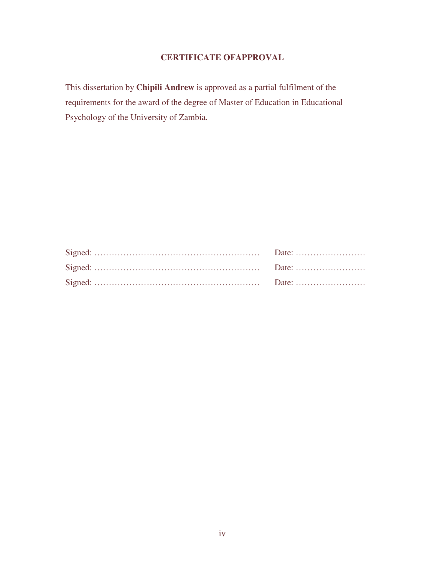## **CERTIFICATE OFAPPROVAL**

This dissertation by **Chipili Andrew** is approved as a partial fulfilment of the requirements for the award of the degree of Master of Education in Educational Psychology of the University of Zambia.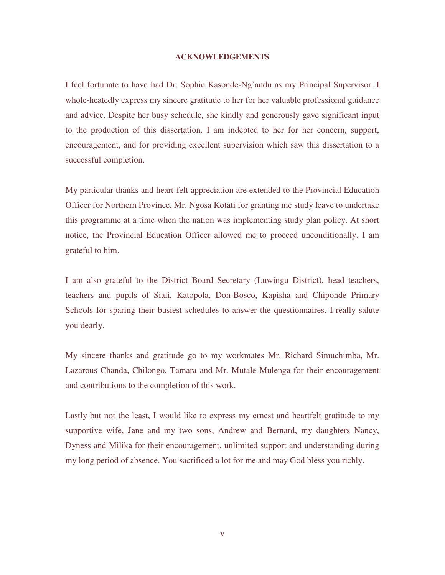#### **ACKNOWLEDGEMENTS**

I feel fortunate to have had Dr. Sophie Kasonde-Ng'andu as my Principal Supervisor. I whole-heatedly express my sincere gratitude to her for her valuable professional guidance and advice. Despite her busy schedule, she kindly and generously gave significant input to the production of this dissertation. I am indebted to her for her concern, support, encouragement, and for providing excellent supervision which saw this dissertation to a successful completion.

My particular thanks and heart-felt appreciation are extended to the Provincial Education Officer for Northern Province, Mr. Ngosa Kotati for granting me study leave to undertake this programme at a time when the nation was implementing study plan policy. At short notice, the Provincial Education Officer allowed me to proceed unconditionally. I am grateful to him.

I am also grateful to the District Board Secretary (Luwingu District), head teachers, teachers and pupils of Siali, Katopola, Don-Bosco, Kapisha and Chiponde Primary Schools for sparing their busiest schedules to answer the questionnaires. I really salute you dearly.

My sincere thanks and gratitude go to my workmates Mr. Richard Simuchimba, Mr. Lazarous Chanda, Chilongo, Tamara and Mr. Mutale Mulenga for their encouragement and contributions to the completion of this work.

Lastly but not the least, I would like to express my ernest and heartfelt gratitude to my supportive wife, Jane and my two sons, Andrew and Bernard, my daughters Nancy, Dyness and Milika for their encouragement, unlimited support and understanding during my long period of absence. You sacrificed a lot for me and may God bless you richly.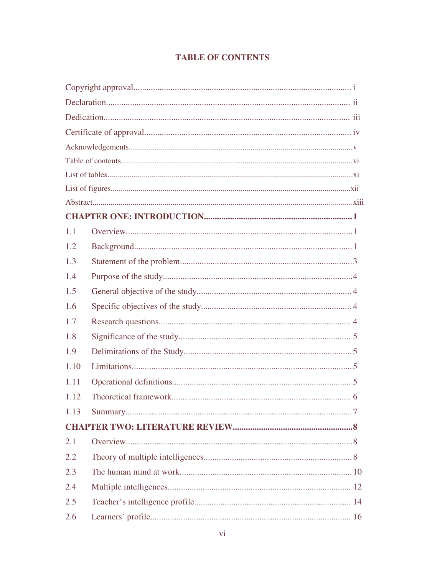# **TABLE OF CONTENTS**

| 1.1  |  |
|------|--|
| 1.2  |  |
| 1.3  |  |
| 1.4  |  |
| 1.5  |  |
| 1.6  |  |
| 1.7  |  |
| 1.8  |  |
| 1.9  |  |
| 1.10 |  |
| 1.11 |  |
| 1.12 |  |
| 1.13 |  |
|      |  |
| 2.1  |  |
| 2.2  |  |
| 2.3  |  |
| 2.4  |  |
| 2.5  |  |
| 2.6  |  |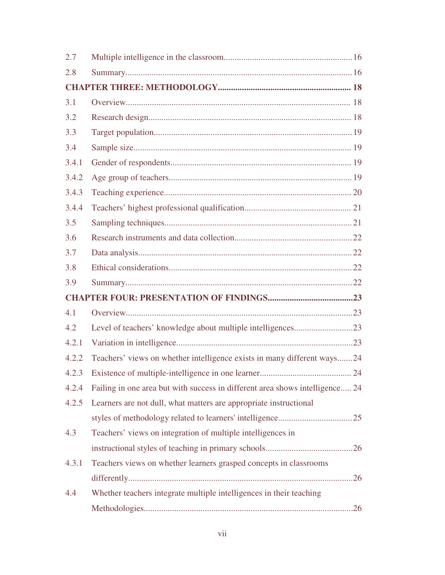| 2.7   |                                                                              |  |
|-------|------------------------------------------------------------------------------|--|
| 2.8   |                                                                              |  |
|       |                                                                              |  |
| 3.1   |                                                                              |  |
| 3.2   |                                                                              |  |
| 3.3   |                                                                              |  |
| 3.4   |                                                                              |  |
| 3.4.1 |                                                                              |  |
| 3.4.2 |                                                                              |  |
| 3.4.3 |                                                                              |  |
| 3.4.4 |                                                                              |  |
| 3.5   |                                                                              |  |
| 3.6   |                                                                              |  |
| 3.7   |                                                                              |  |
| 3.8   |                                                                              |  |
|       |                                                                              |  |
| 3.9   |                                                                              |  |
|       |                                                                              |  |
| 4.1   |                                                                              |  |
| 4.2   | Level of teachers' knowledge about multiple intelligences23                  |  |
| 4.2.1 |                                                                              |  |
| 4.2.2 | Teachers' views on whether intelligence exists in many different ways24      |  |
| 4.2.3 |                                                                              |  |
| 4.2.4 | Failing in one area but with success in different area shows intelligence 24 |  |
| 4.2.5 | Learners are not dull, what matters are appropriate instructional            |  |
|       |                                                                              |  |
| 4.3   | Teachers' views on integration of multiple intelligences in                  |  |
|       |                                                                              |  |
| 4.3.1 | Teachers views on whether learners grasped concepts in classrooms            |  |
|       |                                                                              |  |
| 4.4   | Whether teachers integrate multiple intelligences in their teaching          |  |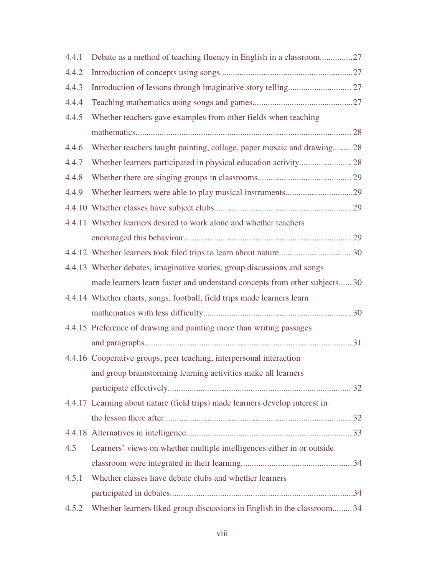| 4.4.1 | Debate as a method of teaching fluency in English in a classroom27           |
|-------|------------------------------------------------------------------------------|
| 4.4.2 |                                                                              |
| 4.4.3 |                                                                              |
| 4.4.4 |                                                                              |
| 4.4.5 | Whether teachers gave examples from other fields when teaching               |
|       |                                                                              |
| 4.4.6 | Whether teachers taught painting, collage, paper mosaic and drawing28        |
| 4.4.7 |                                                                              |
| 4.4.8 |                                                                              |
| 4.4.9 |                                                                              |
|       |                                                                              |
|       | 4.4.11 Whether learners desired to work alone and whether teachers           |
|       |                                                                              |
|       |                                                                              |
|       | 4.4.13 Whether debates, imaginative stories, group discussions and songs     |
|       | made learners learn faster and understand concepts from other subjects 30    |
|       | 4.4.14 Whether charts, songs, football, field trips made learners learn      |
|       |                                                                              |
|       | 4.4.15 Preference of drawing and painting more than writing passages         |
|       |                                                                              |
|       | 4.4.16 Cooperative groups, peer teaching, interpersonal interaction          |
|       | and group brainstorming learning activities make all learners                |
|       |                                                                              |
|       | 4.4.17 Learning about nature (field trips) made learners develop interest in |
|       |                                                                              |
|       |                                                                              |
| 4.5   | Learners' views on whether multiple intelligences either in or outside       |
|       |                                                                              |
| 4.5.1 | Whether classes have debate clubs and whether learners                       |
|       |                                                                              |
| 4.5.2 | Whether learners liked group discussions in English in the classroom 34      |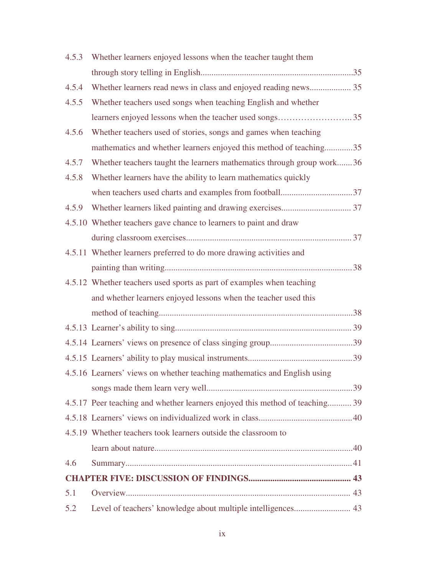| 4.5.3 | Whether learners enjoyed lessons when the teacher taught them                |
|-------|------------------------------------------------------------------------------|
|       |                                                                              |
| 4.5.4 | Whether learners read news in class and enjoyed reading news 35              |
| 4.5.5 | Whether teachers used songs when teaching English and whether                |
|       |                                                                              |
| 4.5.6 | Whether teachers used of stories, songs and games when teaching              |
|       | mathematics and whether learners enjoyed this method of teaching35           |
| 4.5.7 | Whether teachers taught the learners mathematics through group work36        |
| 4.5.8 | Whether learners have the ability to learn mathematics quickly               |
|       |                                                                              |
| 4.5.9 |                                                                              |
|       | 4.5.10 Whether teachers gave chance to learners to paint and draw            |
|       |                                                                              |
|       | 4.5.11 Whether learners preferred to do more drawing activities and          |
|       |                                                                              |
|       | 4.5.12 Whether teachers used sports as part of examples when teaching        |
|       | and whether learners enjoyed lessons when the teacher used this              |
|       |                                                                              |
|       |                                                                              |
|       |                                                                              |
|       |                                                                              |
|       | 4.5.16 Learners' views on whether teaching mathematics and English using     |
|       |                                                                              |
|       | 4.5.17 Peer teaching and whether learners enjoyed this method of teaching 39 |
|       |                                                                              |
|       | 4.5.19 Whether teachers took learners outside the classroom to               |
|       |                                                                              |
| 4.6   |                                                                              |
|       |                                                                              |
| 5.1   |                                                                              |
| 5.2   | Level of teachers' knowledge about multiple intelligences 43                 |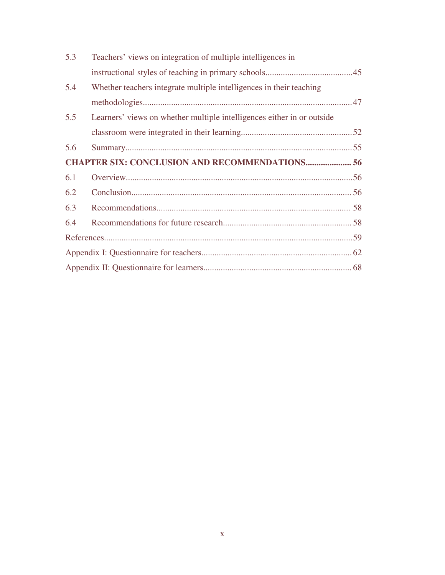| 5.3 | Teachers' views on integration of multiple intelligences in            |  |
|-----|------------------------------------------------------------------------|--|
|     |                                                                        |  |
| 5.4 | Whether teachers integrate multiple intelligences in their teaching    |  |
|     |                                                                        |  |
| 5.5 | Learners' views on whether multiple intelligences either in or outside |  |
|     |                                                                        |  |
| 5.6 |                                                                        |  |
|     | <b>CHAPTER SIX: CONCLUSION AND RECOMMENDATIONS 56</b>                  |  |
| 6.1 |                                                                        |  |
| 6.2 |                                                                        |  |
| 6.3 |                                                                        |  |
| 6.4 |                                                                        |  |
|     |                                                                        |  |
|     |                                                                        |  |
|     |                                                                        |  |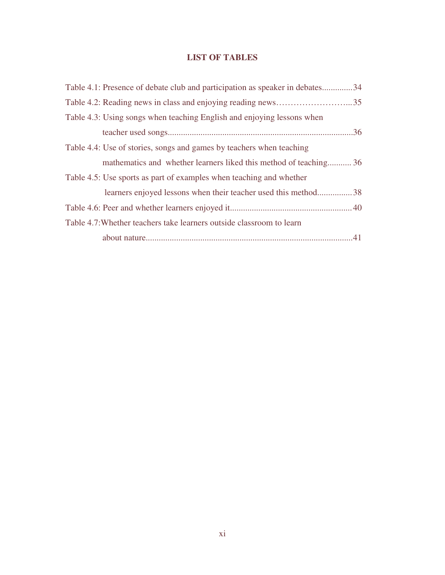## **LIST OF TABLES**

| Table 4.1: Presence of debate club and participation as speaker in debates34 |
|------------------------------------------------------------------------------|
|                                                                              |
| Table 4.3: Using songs when teaching English and enjoying lessons when       |
|                                                                              |
| Table 4.4: Use of stories, songs and games by teachers when teaching         |
| mathematics and whether learners liked this method of teaching 36            |
| Table 4.5: Use sports as part of examples when teaching and whether          |
| learners enjoyed lessons when their teacher used this method38               |
|                                                                              |
| Table 4.7: Whether teachers take learners outside classroom to learn         |
|                                                                              |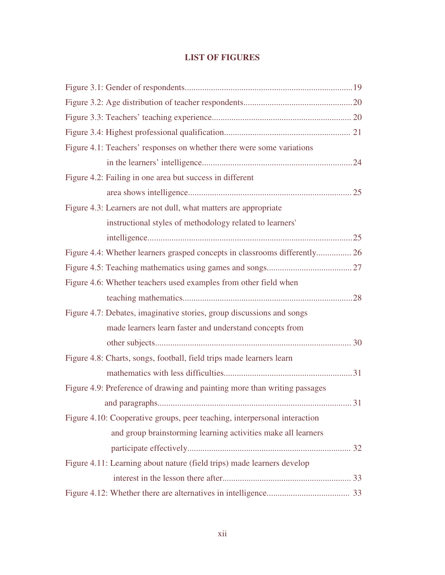## **LIST OF FIGURES**

| Figure 4.1: Teachers' responses on whether there were some variations      |  |
|----------------------------------------------------------------------------|--|
|                                                                            |  |
| Figure 4.2: Failing in one area but success in different                   |  |
|                                                                            |  |
| Figure 4.3: Learners are not dull, what matters are appropriate            |  |
| instructional styles of methodology related to learners'                   |  |
|                                                                            |  |
| Figure 4.4: Whether learners grasped concepts in classrooms differently 26 |  |
|                                                                            |  |
| Figure 4.6: Whether teachers used examples from other field when           |  |
|                                                                            |  |
| Figure 4.7: Debates, imaginative stories, group discussions and songs      |  |
| made learners learn faster and understand concepts from                    |  |
|                                                                            |  |
| Figure 4.8: Charts, songs, football, field trips made learners learn       |  |
|                                                                            |  |
| Figure 4.9: Preference of drawing and painting more than writing passages  |  |
|                                                                            |  |
| Figure 4.10: Cooperative groups, peer teaching, interpersonal interaction  |  |
| and group brainstorming learning activities make all learners              |  |
|                                                                            |  |
| Figure 4.11: Learning about nature (field trips) made learners develop     |  |
|                                                                            |  |
|                                                                            |  |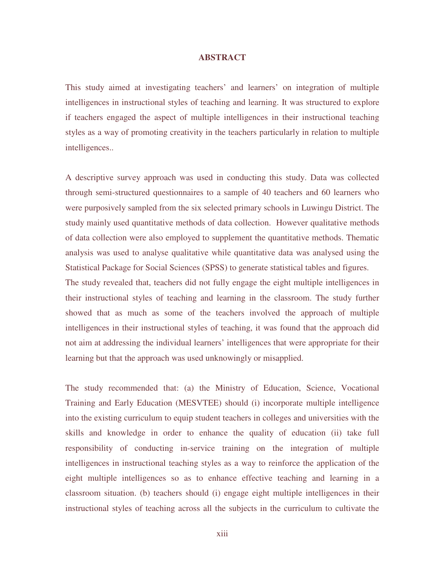### **ABSTRACT**

This study aimed at investigating teachers' and learners' on integration of multiple intelligences in instructional styles of teaching and learning. It was structured to explore if teachers engaged the aspect of multiple intelligences in their instructional teaching styles as a way of promoting creativity in the teachers particularly in relation to multiple intelligences..

A descriptive survey approach was used in conducting this study. Data was collected through semi-structured questionnaires to a sample of 40 teachers and 60 learners who were purposively sampled from the six selected primary schools in Luwingu District. The study mainly used quantitative methods of data collection. However qualitative methods of data collection were also employed to supplement the quantitative methods. Thematic analysis was used to analyse qualitative while quantitative data was analysed using the Statistical Package for Social Sciences (SPSS) to generate statistical tables and figures. The study revealed that, teachers did not fully engage the eight multiple intelligences in their instructional styles of teaching and learning in the classroom. The study further showed that as much as some of the teachers involved the approach of multiple

intelligences in their instructional styles of teaching, it was found that the approach did not aim at addressing the individual learners' intelligences that were appropriate for their learning but that the approach was used unknowingly or misapplied.

The study recommended that: (a) the Ministry of Education, Science, Vocational Training and Early Education (MESVTEE) should (i) incorporate multiple intelligence into the existing curriculum to equip student teachers in colleges and universities with the skills and knowledge in order to enhance the quality of education (ii) take full responsibility of conducting in-service training on the integration of multiple intelligences in instructional teaching styles as a way to reinforce the application of the eight multiple intelligences so as to enhance effective teaching and learning in a classroom situation. (b) teachers should (i) engage eight multiple intelligences in their instructional styles of teaching across all the subjects in the curriculum to cultivate the